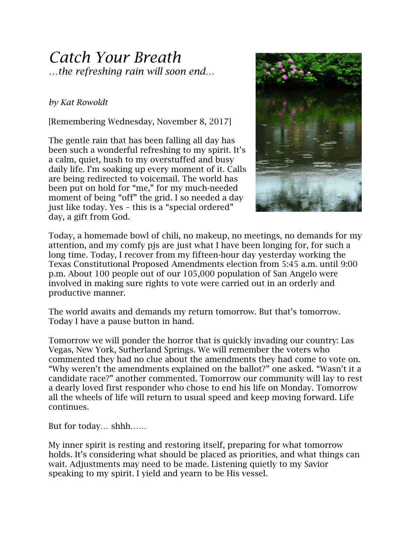## *Catch Your Breath …the refreshing rain will soon end…*

## *by Kat Rowoldt*

[Remembering Wednesday, November 8, 2017]

The gentle rain that has been falling all day has been such a wonderful refreshing to my spirit. It's a calm, quiet, hush to my overstuffed and busy daily life. I'm soaking up every moment of it. Calls are being redirected to voicemail. The world has been put on hold for "me," for my much-needed moment of being "off" the grid. I so needed a day just like today. Yes – this is a "special ordered" day, a gift from God.



Today, a homemade bowl of chili, no makeup, no meetings, no demands for my attention, and my comfy pjs are just what I have been longing for, for such a long time. Today, I recover from my fifteen-hour day yesterday working the Texas Constitutional Proposed Amendments election from 5:45 a.m. until 9:00 p.m. About 100 people out of our 105,000 population of San Angelo were involved in making sure rights to vote were carried out in an orderly and productive manner.

The world awaits and demands my return tomorrow. But that's tomorrow. Today I have a pause button in hand.

Tomorrow we will ponder the horror that is quickly invading our country: Las Vegas, New York, Sutherland Springs. We will remember the voters who commented they had no clue about the amendments they had come to vote on. "Why weren't the amendments explained on the ballot?" one asked. "Wasn't it a candidate race?" another commented. Tomorrow our community will lay to rest a dearly loved first responder who chose to end his life on Monday. Tomorrow all the wheels of life will return to usual speed and keep moving forward. Life continues.

But for today… shhh……

My inner spirit is resting and restoring itself, preparing for what tomorrow holds. It's considering what should be placed as priorities, and what things can wait. Adjustments may need to be made. Listening quietly to my Savior speaking to my spirit. I yield and yearn to be His vessel.